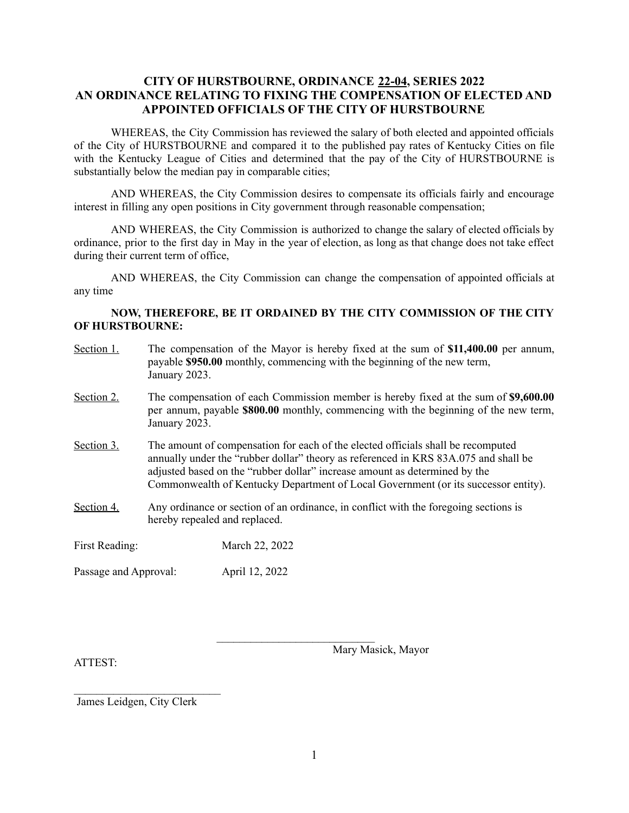## **CITY OF HURSTBOURNE, ORDINANCE 22-04, SERIES 2022 AN ORDINANCE RELATING TO FIXING THE COMPENSATION OF ELECTED AND APPOINTED OFFICIALS OF THE CITY OF HURSTBOURNE**

WHEREAS, the City Commission has reviewed the salary of both elected and appointed officials of the City of HURSTBOURNE and compared it to the published pay rates of Kentucky Cities on file with the Kentucky League of Cities and determined that the pay of the City of HURSTBOURNE is substantially below the median pay in comparable cities;

AND WHEREAS, the City Commission desires to compensate its officials fairly and encourage interest in filling any open positions in City government through reasonable compensation;

AND WHEREAS, the City Commission is authorized to change the salary of elected officials by ordinance, prior to the first day in May in the year of election, as long as that change does not take effect during their current term of office,

AND WHEREAS, the City Commission can change the compensation of appointed officials at any time

## **NOW, THEREFORE, BE IT ORDAINED BY THE CITY COMMISSION OF THE CITY OF HURSTBOURNE:**

| Section 1.            | January 2023.                                                                                                                                                                                                                                                                                                                               | The compensation of the Mayor is hereby fixed at the sum of \$11,400.00 per annum,<br>payable \$950.00 monthly, commencing with the beginning of the new term, |
|-----------------------|---------------------------------------------------------------------------------------------------------------------------------------------------------------------------------------------------------------------------------------------------------------------------------------------------------------------------------------------|----------------------------------------------------------------------------------------------------------------------------------------------------------------|
| Section 2.            | The compensation of each Commission member is hereby fixed at the sum of \$9,600.00<br>per annum, payable \$800.00 monthly, commencing with the beginning of the new term,<br>January 2023.                                                                                                                                                 |                                                                                                                                                                |
| Section 3.            | The amount of compensation for each of the elected officials shall be recomputed<br>annually under the "rubber dollar" theory as referenced in KRS 83A.075 and shall be<br>adjusted based on the "rubber dollar" increase amount as determined by the<br>Commonwealth of Kentucky Department of Local Government (or its successor entity). |                                                                                                                                                                |
| Section 4.            | Any ordinance or section of an ordinance, in conflict with the foregoing sections is<br>hereby repealed and replaced.                                                                                                                                                                                                                       |                                                                                                                                                                |
| First Reading:        |                                                                                                                                                                                                                                                                                                                                             | March 22, 2022                                                                                                                                                 |
| Passage and Approval: |                                                                                                                                                                                                                                                                                                                                             | April 12, 2022                                                                                                                                                 |

ATTEST:

Mary Masick, Mayor

James Leidgen, City Clerk

 $\mathcal{L}_\text{max}$ 

 $\mathcal{L}_\text{max}$